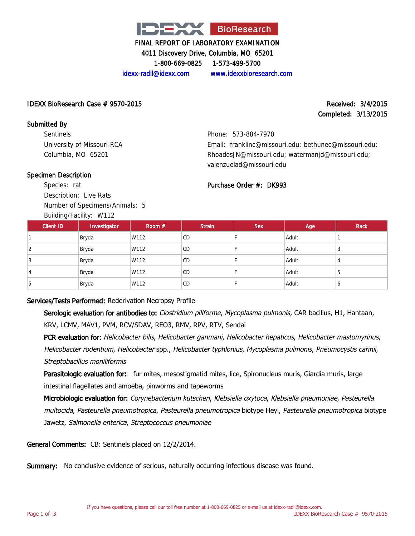

4011 Discovery Drive, Columbia, MO 65201

1-800-669-0825 1-573-499-5700

idexx-radil@idexx.com www.idexxbioresearch.com

#### IDEXX BioResearch Case # 9570-2015 Received: 3/4/2015

# Completed: 3/13/2015

Submitted By **Sentinels** University of Missouri-RCA Columbia, MO 65201

Phone: 573-884-7970 Email: franklinc@missouri.edu; bethunec@missouri.edu; RhoadesJN@missouri.edu; watermanjd@missouri.edu; valenzuelad@missouri.edu

Purchase Order #: DK993

## Specimen Description

Species: rat Description: Live Rats Number of Specimens/Animals: 5

Building/Facility: W112

|           | Dununiyi cumiyi vv FIZ |          |               |            |       |             |
|-----------|------------------------|----------|---------------|------------|-------|-------------|
| Client ID | Investigator           | Room $#$ | <b>Strain</b> | <b>Sex</b> | Age   | <b>Rack</b> |
|           | Bryda                  | W112     | CD            |            | Adult |             |
| 2         | Bryda                  | W112     | CD.           |            | Adult | 3           |
|           | Bryda                  | W112     | <b>CD</b>     |            | Adult | 4           |
|           | Bryda                  | W112     | CD            |            | Adult | .5          |
| 5         | Bryda                  | W112     | <b>CD</b>     |            | Adult | b           |
|           |                        |          |               |            |       |             |

## Services/Tests Performed: Rederivation Necropsy Profile

Serologic evaluation for antibodies to: Clostridium piliforme, Mycoplasma pulmonis, CAR bacillus, H1, Hantaan, KRV, LCMV, MAV1, PVM, RCV/SDAV, REO3, RMV, RPV, RTV, Sendai

PCR evaluation for: Helicobacter bilis, Helicobacter ganmani, Helicobacter hepaticus, Helicobacter mastomyrinus, Helicobacter rodentium, Helicobacter spp., Helicobacter typhlonius, Mycoplasma pulmonis, Pneumocystis carinii, Streptobacillus moniliformis

Parasitologic evaluation for: fur mites, mesostigmatid mites, lice, Spironucleus muris, Giardia muris, large intestinal flagellates and amoeba, pinworms and tapeworms

Microbiologic evaluation for: Corynebacterium kutscheri, Klebsiella oxytoca, Klebsiella pneumoniae, Pasteurella multocida, Pasteurella pneumotropica, Pasteurella pneumotropica biotype Heyl, Pasteurella pneumotropica biotype Jawetz, Salmonella enterica, Streptococcus pneumoniae

General Comments: CB: Sentinels placed on 12/2/2014.

Summary: No conclusive evidence of serious, naturally occurring infectious disease was found.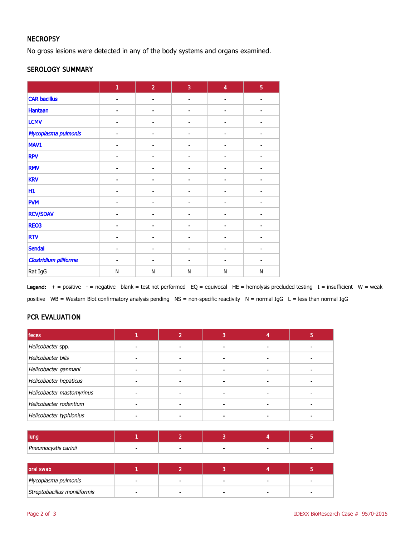# **NECROPSY**

No gross lesions were detected in any of the body systems and organs examined.

#### SEROLOGY SUMMARY

|                              | $\mathbf{1}$             | $\overline{2}$               | $\overline{3}$           | $\overline{4}$  | $\overline{5}$ |
|------------------------------|--------------------------|------------------------------|--------------------------|-----------------|----------------|
| <b>CAR bacillus</b>          | $\overline{\phantom{a}}$ | $\overline{\phantom{a}}$     | $\overline{\phantom{a}}$ | $\qquad \qquad$ | $\blacksquare$ |
| <b>Hantaan</b>               |                          |                              |                          |                 |                |
| <b>LCMV</b>                  |                          |                              |                          |                 |                |
| Mycoplasma pulmonis          |                          |                              |                          |                 |                |
| MAV1                         | $\blacksquare$           | $\overline{\phantom{a}}$     | $\blacksquare$           | $\blacksquare$  |                |
| <b>RPV</b>                   | $\blacksquare$           | $\blacksquare$               | $\blacksquare$           | ä,              |                |
| <b>RMV</b>                   |                          |                              |                          |                 |                |
| <b>KRV</b>                   |                          | $\qquad \qquad \blacksquare$ |                          |                 |                |
| H1                           | $\blacksquare$           | $\blacksquare$               | $\blacksquare$           | ä,              |                |
| <b>PVM</b>                   | $\overline{\phantom{a}}$ | $\qquad \qquad \blacksquare$ |                          | $\blacksquare$  |                |
| <b>RCV/SDAV</b>              |                          |                              |                          |                 |                |
| REO3                         |                          |                              |                          |                 |                |
| <b>RTV</b>                   |                          |                              |                          |                 |                |
| <b>Sendai</b>                | $\blacksquare$           | $\overline{\phantom{a}}$     | $\blacksquare$           | $\blacksquare$  |                |
| <b>Clostridium piliforme</b> | ٠                        | $\blacksquare$               | ÷                        | ä,              |                |
| Rat IgG                      | $\mathsf{N}$             | $\mathsf{N}$                 | N                        | N               | N              |

Legend:  $+$  = positive  $-$  = negative blank = test not performed EQ = equivocal HE = hemolysis precluded testing I = insufficient W = weak positive WB = Western Blot confirmatory analysis pending NS = non-specific reactivity N = normal IgG L = less than normal IgG

# PCR EVALUATION

| feces                     |  |  |  |
|---------------------------|--|--|--|
| Helicobacter spp.         |  |  |  |
| Helicobacter bilis        |  |  |  |
| Helicobacter ganmani      |  |  |  |
| Helicobacter hepaticus    |  |  |  |
| Helicobacter mastomyrinus |  |  |  |
| Helicobacter rodentium    |  |  |  |
| Helicobacter typhlonius   |  |  |  |

| lung                 |  |                          |  |
|----------------------|--|--------------------------|--|
| Pneumocystis carinii |  | $\overline{\phantom{a}}$ |  |

| <b>loral swab</b>            |  |  |  |
|------------------------------|--|--|--|
| Mycoplasma pulmonis          |  |  |  |
| Streptobacillus moniliformis |  |  |  |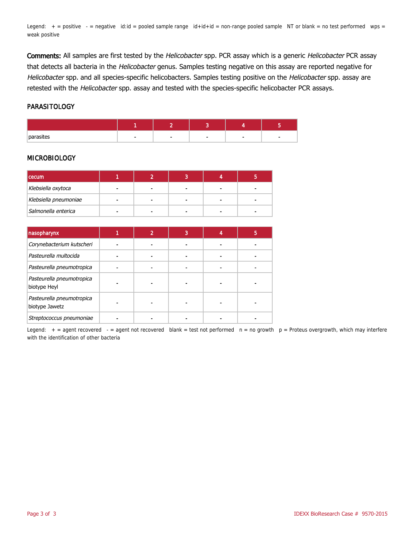Legend:  $+$  = positive  $-$  = negative id:id = pooled sample range  $id+id+id$  = non-range pooled sample NT or blank = no test performed wps = weak positive

Comments: All samples are first tested by the Helicobacter spp. PCR assay which is a generic Helicobacter PCR assay that detects all bacteria in the Helicobacter genus. Samples testing negative on this assay are reported negative for Helicobacter spp. and all species-specific helicobacters. Samples testing positive on the Helicobacter spp. assay are retested with the Helicobacter spp. assay and tested with the species-specific helicobacter PCR assays.

#### PARASITOLOGY

| nor- |  |  |  |
|------|--|--|--|

#### MICROBIOLOGY

| <b>cecum</b>          |                          |                |  |
|-----------------------|--------------------------|----------------|--|
| Klebsiella oxytoca    |                          |                |  |
| Klebsiella pneumoniae | $\overline{\phantom{0}}$ | $\blacksquare$ |  |
| Salmonella enterica   |                          |                |  |

| nasopharynx                                 | $\overline{2}$ | 3 |  |
|---------------------------------------------|----------------|---|--|
| Corynebacterium kutscheri                   |                |   |  |
| Pasteurella multocida                       |                |   |  |
| Pasteurella pneumotropica                   |                |   |  |
| Pasteurella pneumotropica<br>biotype Heyl   |                |   |  |
| Pasteurella pneumotropica<br>biotype Jawetz |                |   |  |
| Streptococcus pneumoniae                    |                |   |  |

Legend:  $+$  = agent recovered - = agent not recovered blank = test not performed  $n = no$  growth  $p =$  Proteus overgrowth, which may interfere with the identification of other bacteria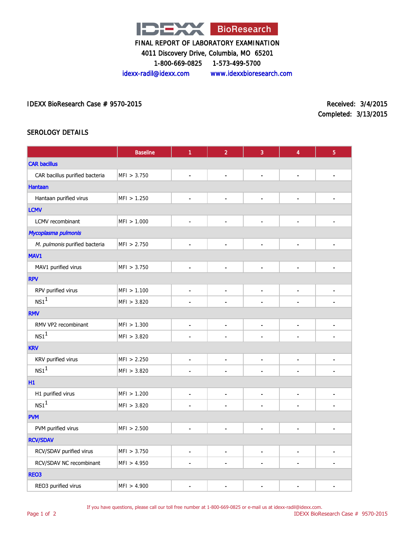

4011 Discovery Drive, Columbia, MO 65201

1-800-669-0825 1-573-499-5700

idexx-radil@idexx.com www.idexxbioresearch.com

IDEXX BioResearch Case # 9570-2015 <br>
Received: 3/4/2015

Completed: 3/13/2015

## SEROLOGY DETAILS

|                                | <b>Baseline</b> | $\mathbf{1}$   | $\overline{2}$           | 3                            | $\overline{\mathbf{4}}$  | $\overline{5}$               |
|--------------------------------|-----------------|----------------|--------------------------|------------------------------|--------------------------|------------------------------|
| <b>CAR bacillus</b>            |                 |                |                          |                              |                          |                              |
| CAR bacillus purified bacteria | MFI > 3.750     | $\blacksquare$ | $\blacksquare$           | $\blacksquare$               | $\blacksquare$           | $\frac{1}{2}$                |
| <b>Hantaan</b>                 |                 |                |                          |                              |                          |                              |
| Hantaan purified virus         | MFI > 1.250     | $\blacksquare$ | $\blacksquare$           | $\blacksquare$               | $\overline{\phantom{a}}$ | $\frac{1}{2}$                |
| <b>LCMV</b>                    |                 |                |                          |                              |                          |                              |
| LCMV recombinant               | MFI > 1.000     | $\blacksquare$ | $\blacksquare$           | $\blacksquare$               | $\blacksquare$           | $\frac{1}{2}$                |
| Mycoplasma pulmonis            |                 |                |                          |                              |                          |                              |
| M. pulmonis purified bacteria  | MFI > 2.750     | $\blacksquare$ | $\blacksquare$           | $\blacksquare$               | $\overline{\phantom{a}}$ | ۰                            |
| MAV1                           |                 |                |                          |                              |                          |                              |
| MAV1 purified virus            | MF1 > 3.750     | $\blacksquare$ | $\blacksquare$           | $\qquad \qquad \blacksquare$ | $\blacksquare$           | $\overline{\phantom{0}}$     |
| <b>RPV</b>                     |                 |                |                          |                              |                          |                              |
| RPV purified virus             | MFI > 1.100     | $\blacksquare$ | $\overline{\phantom{a}}$ | $\qquad \qquad \blacksquare$ | $\overline{\phantom{a}}$ | $\qquad \qquad \blacksquare$ |
| $NS1^1$                        | MFI > 3.820     | $\blacksquare$ | $\blacksquare$           |                              | $\blacksquare$           | $\blacksquare$               |
| <b>RMV</b>                     |                 |                |                          |                              |                          |                              |
| RMV VP2 recombinant            | MFI > 1.300     | $\blacksquare$ | $\overline{\phantom{a}}$ | -                            | $\overline{\phantom{a}}$ | $\qquad \qquad \blacksquare$ |
| NS1 <sup>1</sup>               | MFI > 3.820     | ä,             |                          |                              | $\overline{a}$           | ÷.                           |
| <b>KRV</b>                     |                 |                |                          |                              |                          |                              |
| KRV purified virus             | MF1 > 2.250     | $\blacksquare$ | $\blacksquare$           | -                            | $\blacksquare$           | $\qquad \qquad \blacksquare$ |
| $NS1^1$                        | MF1 > 3.820     |                |                          |                              |                          | $\blacksquare$               |
| H1                             |                 |                |                          |                              |                          |                              |
| H1 purified virus              | MFI > 1.200     | L,             | L,                       | $\overline{a}$               | $\overline{a}$           | $\overline{a}$               |
| NS1 <sup>1</sup>               | MFI > 3.820     | $\overline{a}$ | $\overline{a}$           | $\blacksquare$               | ÷,                       | $\blacksquare$               |
| <b>PVM</b>                     |                 |                |                          |                              |                          |                              |
| PVM purified virus             | MFI > 2.500     | $\blacksquare$ | $\blacksquare$           | $\overline{a}$               | $\overline{a}$           | $\blacksquare$               |
| <b>RCV/SDAV</b>                |                 |                |                          |                              |                          |                              |
| RCV/SDAV purified virus        | MFI > 3.750     | $\blacksquare$ | $\overline{a}$           | ۰                            | $\blacksquare$           | ۰                            |
| RCV/SDAV NC recombinant        | MF1 > 4.950     | $\blacksquare$ | $\overline{a}$           | $\overline{a}$               | $\blacksquare$           | $\overline{\phantom{a}}$     |
| REO3                           |                 |                |                          |                              |                          |                              |
| REO3 purified virus            | MF1 > 4.900     | $\blacksquare$ | ä,                       | ä,                           | $\overline{a}$           | $\blacksquare$               |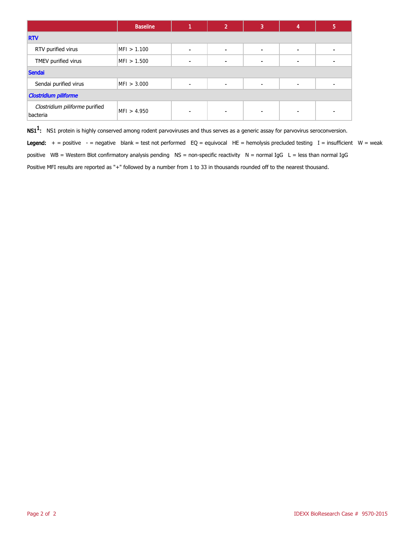|                                            | <b>Baseline</b> |                | $\mathbf{2}^{\prime}$ | 3              | 4              | 5 |
|--------------------------------------------|-----------------|----------------|-----------------------|----------------|----------------|---|
| <b>RTV</b>                                 |                 |                |                       |                |                |   |
| RTV purified virus                         | MFI > 1.100     | $\blacksquare$ | $\blacksquare$        |                | $\blacksquare$ |   |
| TMEV purified virus                        | MFI > 1.500     |                |                       |                | $\blacksquare$ |   |
| Sendai                                     |                 |                |                       |                |                |   |
| Sendai purified virus                      | MFI > 3.000     | $\blacksquare$ | $\blacksquare$        | $\blacksquare$ | $\blacksquare$ |   |
| <b>Clostridium piliforme</b>               |                 |                |                       |                |                |   |
| Clostridium piliforme purified<br>bacteria | MFI > 4.950     | -              |                       | -              | $\blacksquare$ |   |

 $\mathsf{NS1^1}\text{:}$  NS1 protein is highly conserved among rodent parvoviruses and thus serves as a generic assay for parvovirus seroconversion.

Legend:  $+$  = positive  $-$  = negative blank = test not performed EQ = equivocal HE = hemolysis precluded testing I = insufficient W = weak positive WB = Western Blot confirmatory analysis pending NS = non-specific reactivity N = normal IgG L = less than normal IgG Positive MFI results are reported as "+" followed by a number from 1 to 33 in thousands rounded off to the nearest thousand.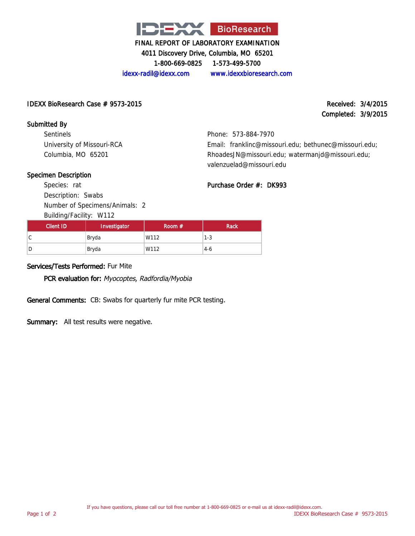

4011 Discovery Drive, Columbia, MO 65201

1-800-669-0825 1-573-499-5700

idexx-radil@idexx.com www.idexxbioresearch.com

#### IDEXX BioResearch Case # 9573-2015 Received: 3/4/2015

Completed: 3/9/2015

# Submitted By

Sentinels University of Missouri-RCA Columbia, MO 65201

Phone: 573-884-7970 Email: franklinc@missouri.edu; bethunec@missouri.edu; RhoadesJN@missouri.edu; watermanjd@missouri.edu; valenzuelad@missouri.edu

# Specimen Description

Species: rat Description: Swabs Number of Specimens/Animals: 2

Building/Facility: W112

| Lindii. Tidriiniiloo miissodin.caa, bothancoo miissodin.c |
|-----------------------------------------------------------|
| RhoadesJN@missouri.edu; watermanjd@missouri.edu           |
| valenzuelad@missouri.edu                                  |
|                                                           |

# Purchase Order #: DK993

| <b>Client ID</b> | Investigator | Room $#$ | <b>Rack</b> |
|------------------|--------------|----------|-------------|
| С                | Bryda        | W112     | $1 - 3$     |
| Ð                | Bryda        | W112     | $4-6$       |

## Services/Tests Performed: Fur Mite

PCR evaluation for: Myocoptes, Radfordia/Myobia

General Comments: CB: Swabs for quarterly fur mite PCR testing.

Summary: All test results were negative.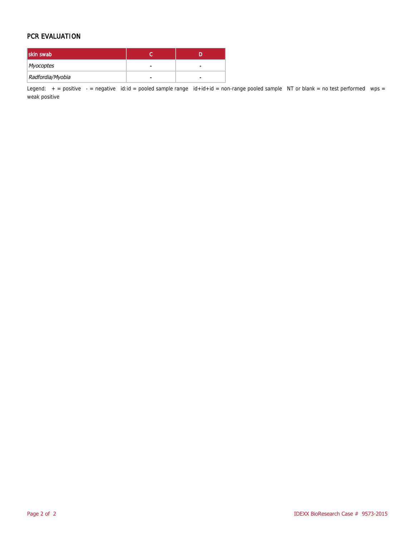## PCR EVALUATION

| skin swab        |   |   |
|------------------|---|---|
| Myocoptes        | - | - |
| Radfordia/Myobia |   |   |

Legend:  $+$  = positive  $-$  = negative id:id = pooled sample range id+id+id = non-range pooled sample NT or blank = no test performed wps = weak positive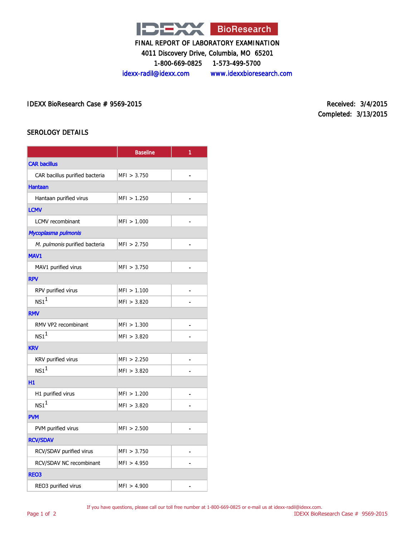

4011 Discovery Drive, Columbia, MO 65201

1-800-669-0825 1-573-499-5700

idexx-radil@idexx.com www.idexxbioresearch.com

IDEXX BioResearch Case # 9569-2015 <br>
Received: 3/4/2015

Completed: 3/13/2015

# SEROLOGY DETAILS

|                                | <b>Baseline</b> | 1              |
|--------------------------------|-----------------|----------------|
| <b>CAR bacillus</b>            |                 |                |
| CAR bacillus purified bacteria | MFI > 3.750     | ä,             |
| <b>Hantaan</b>                 |                 |                |
| Hantaan purified virus         | MFI > 1.250     |                |
| <b>LCMV</b>                    |                 |                |
| <b>LCMV</b> recombinant        | MFI > 1.000     | $\overline{a}$ |
| Mycoplasma pulmonis            |                 |                |
| M. pulmonis purified bacteria  | MFI > 2.750     |                |
| MAV1                           |                 |                |
| MAV1 purified virus            | MFI > 3.750     | ۳              |
| <b>RPV</b>                     |                 |                |
| RPV purified virus             | MFI > 1.100     |                |
| NS1 <sup>1</sup>               | MFI > 3.820     |                |
| <b>RMV</b>                     |                 |                |
| RMV VP2 recombinant            | MFI > 1.300     |                |
| NS1 <sup>1</sup>               | MFI > 3.820     |                |
| <b>KRV</b>                     |                 |                |
| KRV purified virus             | MFI > 2.250     | $\blacksquare$ |
| NS1 <sup>1</sup>               | MFI > 3.820     |                |
| H1                             |                 |                |
| H1 purified virus              | MFI > 1.200     |                |
| NS1 <sup>1</sup>               | MFI > 3.820     |                |
| <b>PVM</b>                     |                 |                |
| PVM purified virus             | MFI > 2.500     |                |
| <b>RCV/SDAV</b>                |                 |                |
| RCV/SDAV purified virus        | MFI > 3.750     |                |
| RCV/SDAV NC recombinant        | MFI > 4.950     |                |
| <b>REO3</b>                    |                 |                |
| REO3 purified virus            | MFI > 4.900     |                |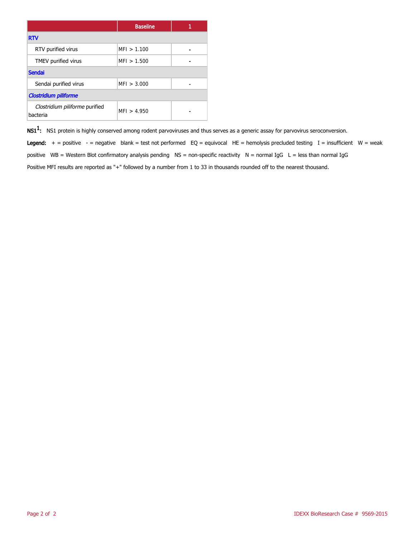|                                            | <b>Baseline</b> |  |
|--------------------------------------------|-----------------|--|
| <b>RTV</b>                                 |                 |  |
| RTV purified virus                         | MFI > 1.100     |  |
| TMEV purified virus                        | MFI > 1.500     |  |
| <b>Sendai</b>                              |                 |  |
| Sendai purified virus                      | MFI > 3.000     |  |
| <b>Clostridium piliforme</b>               |                 |  |
| Clostridium piliforme purified<br>bacteria | MFI > 4.950     |  |

 $\mathsf{NS1^1}\text{:}$  NS1 protein is highly conserved among rodent parvoviruses and thus serves as a generic assay for parvovirus seroconversion.

Legend:  $+$  = positive - = negative blank = test not performed EQ = equivocal HE = hemolysis precluded testing I = insufficient W = weak positive WB = Western Blot confirmatory analysis pending  $NS =$  non-specific reactivity  $N =$  normal IgG  $L =$  less than normal IgG Positive MFI results are reported as "+" followed by a number from 1 to 33 in thousands rounded off to the nearest thousand.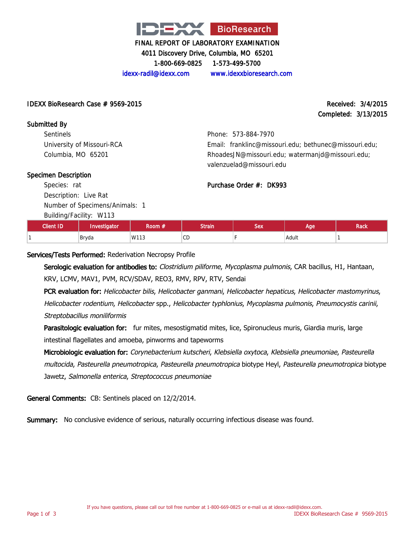

4011 Discovery Drive, Columbia, MO 65201

1-800-669-0825 1-573-499-5700

idexx-radil@idexx.com www.idexxbioresearch.com

## IDEXX BioResearch Case # 9569-2015 Received: 3/4/2015

# Completed: 3/13/2015

Submitted By **Sentinels** University of Missouri-RCA Columbia, MO 65201

Phone: 573-884-7970 Email: franklinc@missouri.edu; bethunec@missouri.edu; RhoadesJN@missouri.edu; watermanjd@missouri.edu; valenzuelad@missouri.edu

# Specimen Description

Species: rat Description: Live Rat Number of Specimens/Animals: 1

Building/Facility: W113

| <b>Client ID</b> | Investigator | . .<br>bom . | <b>Strain</b> | Sex | Aae'  | <b>Rack</b> |
|------------------|--------------|--------------|---------------|-----|-------|-------------|
|                  | Bryda        | W113         | $\cap$<br>◡◡  |     | Adult |             |

Purchase Order #: DK993

# Services/Tests Performed: Rederivation Necropsy Profile

Serologic evaluation for antibodies to: Clostridium piliforme, Mycoplasma pulmonis, CAR bacillus, H1, Hantaan, KRV, LCMV, MAV1, PVM, RCV/SDAV, REO3, RMV, RPV, RTV, Sendai

PCR evaluation for: Helicobacter bilis, Helicobacter ganmani, Helicobacter hepaticus, Helicobacter mastomyrinus, Helicobacter rodentium, Helicobacter spp., Helicobacter typhlonius, Mycoplasma pulmonis, Pneumocystis carinii, Streptobacillus moniliformis

Parasitologic evaluation for: fur mites, mesostigmatid mites, lice, Spironucleus muris, Giardia muris, large intestinal flagellates and amoeba, pinworms and tapeworms

Microbiologic evaluation for: Corynebacterium kutscheri, Klebsiella oxytoca, Klebsiella pneumoniae, Pasteurella multocida, Pasteurella pneumotropica, Pasteurella pneumotropica biotype Heyl, Pasteurella pneumotropica biotype Jawetz, Salmonella enterica, Streptococcus pneumoniae

General Comments: CB: Sentinels placed on 12/2/2014.

Summary: No conclusive evidence of serious, naturally occurring infectious disease was found.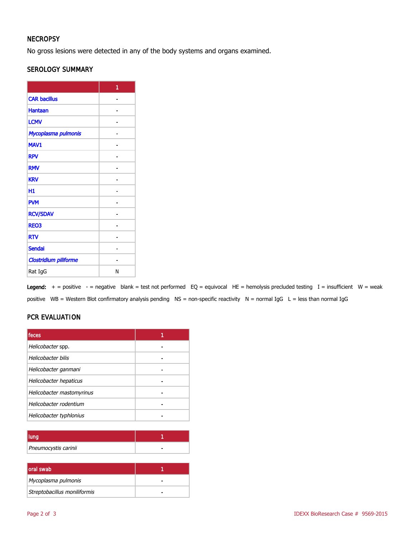# **NECROPSY**

No gross lesions were detected in any of the body systems and organs examined.

## SEROLOGY SUMMARY

|                       | 1 |
|-----------------------|---|
| <b>CAR bacillus</b>   |   |
| <b>Hantaan</b>        |   |
| <b>LCMV</b>           |   |
| Mycoplasma pulmonis   |   |
| MAV1                  |   |
| <b>RPV</b>            |   |
| <b>RMV</b>            |   |
| <b>KRV</b>            |   |
| Н1                    |   |
| <b>PVM</b>            |   |
| <b>RCV/SDAV</b>       |   |
| <b>REO3</b>           |   |
| <b>RTV</b>            |   |
| <b>Sendai</b>         |   |
| Clostridium piliforme |   |
| Rat IgG               | N |

Legend:  $+$  = positive  $-$  = negative blank = test not performed EQ = equivocal HE = hemolysis precluded testing I = insufficient W = weak positive WB = Western Blot confirmatory analysis pending NS = non-specific reactivity N = normal IgG L = less than normal IgG

# PCR EVALUATION

| feces                     |  |
|---------------------------|--|
| Helicobacter spp.         |  |
| Helicobacter bilis        |  |
| Helicobacter ganmani      |  |
| Helicobacter hepaticus    |  |
| Helicobacter mastomyrinus |  |
| Helicobacter rodentium    |  |
| Helicobacter typhlonius   |  |

| lung                 |  |
|----------------------|--|
| Pneumocystis carinii |  |

| <b>loral</b> swab            |  |
|------------------------------|--|
| Mycoplasma pulmonis          |  |
| Streptobacillus moniliformis |  |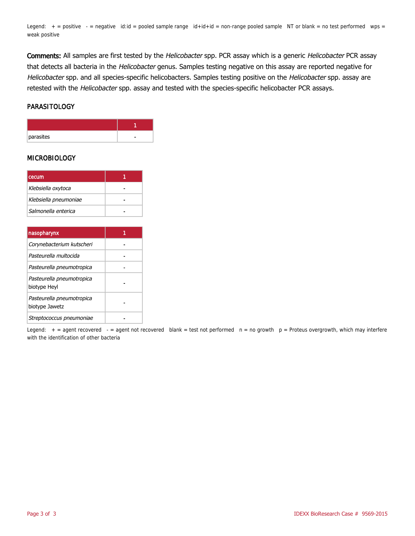Legend:  $+$  = positive  $-$  = negative id:id = pooled sample range  $id+id+id$  = non-range pooled sample NT or blank = no test performed wps = weak positive

Comments: All samples are first tested by the Helicobacter spp. PCR assay which is a generic Helicobacter PCR assay that detects all bacteria in the Helicobacter genus. Samples testing negative on this assay are reported negative for Helicobacter spp. and all species-specific helicobacters. Samples testing positive on the Helicobacter spp. assay are retested with the Helicobacter spp. assay and tested with the species-specific helicobacter PCR assays.

#### PARASITOLOGY

| parasites |  |
|-----------|--|

#### MICROBIOLOGY

| l cecum               |  |
|-----------------------|--|
| Klebsiella oxytoca    |  |
| Klebsiella pneumoniae |  |
| Salmonella enterica   |  |

| nasopharynx                                 |  |
|---------------------------------------------|--|
| Corynebacterium kutscheri                   |  |
| Pasteurella multocida                       |  |
| Pasteurella pneumotropica                   |  |
| Pasteurella pneumotropica<br>biotype Heyl   |  |
| Pasteurella pneumotropica<br>biotype Jawetz |  |
| Streptococcus pneumoniae                    |  |

Legend:  $+$  = agent recovered - = agent not recovered blank = test not performed  $n = no$  growth  $p =$  Proteus overgrowth, which may interfere with the identification of other bacteria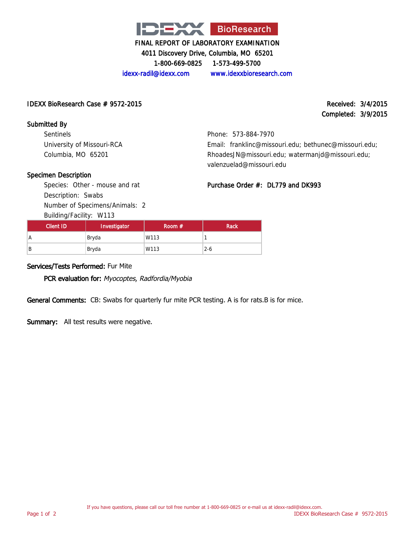

4011 Discovery Drive, Columbia, MO 65201

1-800-669-0825 1-573-499-5700

idexx-radil@idexx.com www.idexxbioresearch.com

#### IDEXX BioResearch Case # 9572-2015 Received: 3/4/2015

# Completed: 3/9/2015

Submitted By Sentinels University of Missouri-RCA Columbia, MO 65201

Phone: 573-884-7970 Email: franklinc@missouri.edu; bethunec@missouri.edu; RhoadesJN@missouri.edu; watermanjd@missouri.edu;

## Specimen Description

Species: Other - mouse and rat Description: Swabs Number of Specimens/Animals: 2

Building/Facility: W113

| RhoadesJN@missouri.edu; watermanjd@missouri.ed |
|------------------------------------------------|
| valenzuelad@missouri.edu                       |
|                                                |

## Purchase Order #: DL779 and DK993

| Client ID | Investigator | Room $#$ | <b>Rack</b> |
|-----------|--------------|----------|-------------|
| A         | Bryda        | W113     |             |
| B         | Bryda        | W113     | $2 - 6$     |

## Services/Tests Performed: Fur Mite

PCR evaluation for: Myocoptes, Radfordia/Myobia

General Comments: CB: Swabs for quarterly fur mite PCR testing. A is for rats.B is for mice.

Summary: All test results were negative.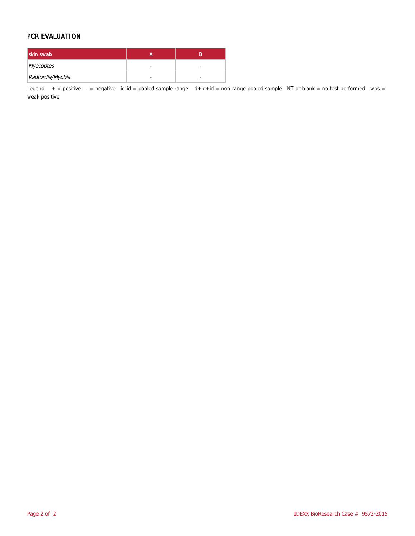## PCR EVALUATION

| skin swab        |   |   |
|------------------|---|---|
| Myocoptes        | - | - |
| Radfordia/Myobia |   |   |

Legend:  $+$  = positive  $-$  = negative id:id = pooled sample range id+id+id = non-range pooled sample NT or blank = no test performed wps = weak positive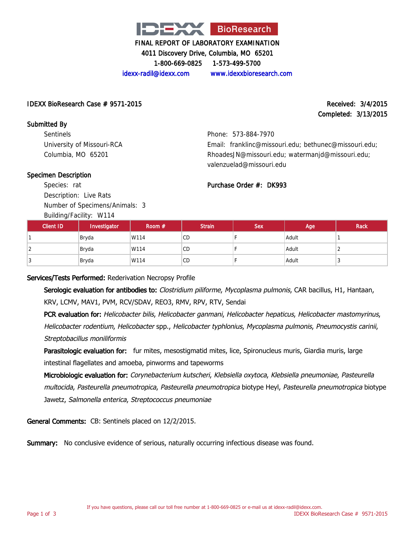

4011 Discovery Drive, Columbia, MO 65201

1-800-669-0825 1-573-499-5700

idexx-radil@idexx.com www.idexxbioresearch.com

## IDEXX BioResearch Case # 9571-2015 Received: 3/4/2015

# Completed: 3/13/2015

Submitted By **Sentinels** University of Missouri-RCA Columbia, MO 65201

Phone: 573-884-7970 Email: franklinc@missouri.edu; bethunec@missouri.edu; RhoadesJN@missouri.edu; watermanjd@missouri.edu; valenzuelad@missouri.edu

## Specimen Description

Species: rat Description: Live Rats Number of Specimens/Animals: 3

Building/Facility: W114

|           | $5 - 1$      |          |               |            |       |             |
|-----------|--------------|----------|---------------|------------|-------|-------------|
| Client ID | Investigator | Room $#$ | <b>Strain</b> | <b>Sex</b> | Age   | <b>Rack</b> |
|           | Bryda        | W114     | <b>CD</b>     |            | Adult |             |
|           | Bryda        | W114     | <b>CD</b>     |            | Adult |             |
|           | Bryda        | W114     | CD            |            | Adult |             |

Purchase Order #: DK993

Services/Tests Performed: Rederivation Necropsy Profile

Serologic evaluation for antibodies to: Clostridium piliforme, Mycoplasma pulmonis, CAR bacillus, H1, Hantaan, KRV, LCMV, MAV1, PVM, RCV/SDAV, REO3, RMV, RPV, RTV, Sendai

PCR evaluation for: Helicobacter bilis, Helicobacter ganmani, Helicobacter hepaticus, Helicobacter mastomyrinus, Helicobacter rodentium, Helicobacter spp., Helicobacter typhlonius, Mycoplasma pulmonis, Pneumocystis carinii, Streptobacillus moniliformis

Parasitologic evaluation for: fur mites, mesostigmatid mites, lice, Spironucleus muris, Giardia muris, large intestinal flagellates and amoeba, pinworms and tapeworms

Microbiologic evaluation for: Corynebacterium kutscheri, Klebsiella oxytoca, Klebsiella pneumoniae, Pasteurella multocida, Pasteurella pneumotropica, Pasteurella pneumotropica biotype Heyl, Pasteurella pneumotropica biotype Jawetz, Salmonella enterica, Streptococcus pneumoniae

General Comments: CB: Sentinels placed on 12/2/2015.

Summary: No conclusive evidence of serious, naturally occurring infectious disease was found.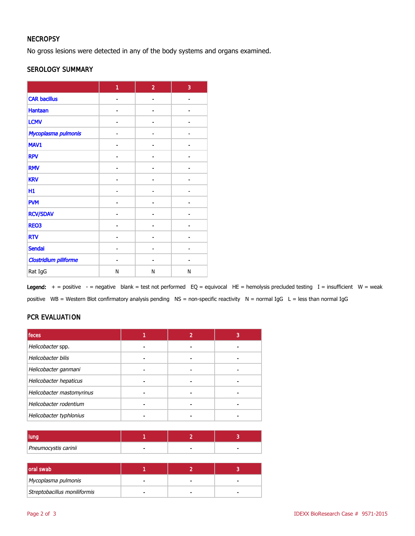## **NECROPSY**

No gross lesions were detected in any of the body systems and organs examined.

#### SEROLOGY SUMMARY

|                              | 1 | $\overline{2}$ | 3  |
|------------------------------|---|----------------|----|
| <b>CAR bacillus</b>          |   |                |    |
| <b>Hantaan</b>               |   |                |    |
| <b>LCMV</b>                  |   | Ĭ.             |    |
| Mycoplasma pulmonis          |   |                |    |
| MAV1                         |   | ۰              | Ē. |
| <b>RPV</b>                   |   |                |    |
| <b>RMV</b>                   |   |                |    |
| <b>KRV</b>                   |   |                |    |
| H1                           |   | $\blacksquare$ |    |
| <b>PVM</b>                   |   |                |    |
| <b>RCV/SDAV</b>              |   |                |    |
| REO3                         |   |                |    |
| <b>RTV</b>                   |   |                |    |
| <b>Sendai</b>                |   |                |    |
| <b>Clostridium piliforme</b> |   |                |    |
| Rat IgG                      | N | N              | Ν  |

Legend:  $+$  = positive - = negative blank = test not performed EQ = equivocal HE = hemolysis precluded testing I = insufficient W = weak positive WB = Western Blot confirmatory analysis pending NS = non-specific reactivity N = normal IgG L = less than normal IgG

# PCR EVALUATION

| feces                     |  |  |
|---------------------------|--|--|
| Helicobacter spp.         |  |  |
| Helicobacter bilis        |  |  |
| Helicobacter ganmani      |  |  |
| Helicobacter hepaticus    |  |  |
| Helicobacter mastomyrinus |  |  |
| Helicobacter rodentium    |  |  |
| Helicobacter typhlonius   |  |  |

| Pneumocystis carinii |  |  |
|----------------------|--|--|

| oral swab                    |  |  |
|------------------------------|--|--|
| Mycoplasma pulmonis          |  |  |
| Streptobacillus moniliformis |  |  |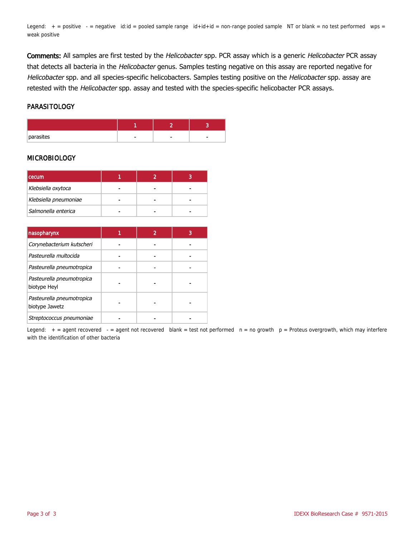Legend:  $+$  = positive  $-$  = negative id:id = pooled sample range  $id+id+id$  = non-range pooled sample NT or blank = no test performed wps = weak positive

Comments: All samples are first tested by the Helicobacter spp. PCR assay which is a generic Helicobacter PCR assay that detects all bacteria in the Helicobacter genus. Samples testing negative on this assay are reported negative for Helicobacter spp. and all species-specific helicobacters. Samples testing positive on the Helicobacter spp. assay are retested with the Helicobacter spp. assay and tested with the species-specific helicobacter PCR assays.

#### PARASITOLOGY

| parasites |  | ۰ |
|-----------|--|---|

#### MICROBIOLOGY

| <b>I</b> cecum        |  |  |
|-----------------------|--|--|
| Klebsiella oxytoca    |  |  |
| Klebsiella pneumoniae |  |  |
| Salmonella enterica   |  |  |

| nasopharynx                                 |  |  |
|---------------------------------------------|--|--|
| Corynebacterium kutscheri                   |  |  |
| Pasteurella multocida                       |  |  |
| Pasteurella pneumotropica                   |  |  |
| Pasteurella pneumotropica<br>biotype Heyl   |  |  |
| Pasteurella pneumotropica<br>biotype Jawetz |  |  |
| Streptococcus pneumoniae                    |  |  |

Legend:  $+$  = agent recovered - = agent not recovered blank = test not performed  $n = no$  growth  $p =$  Proteus overgrowth, which may interfere with the identification of other bacteria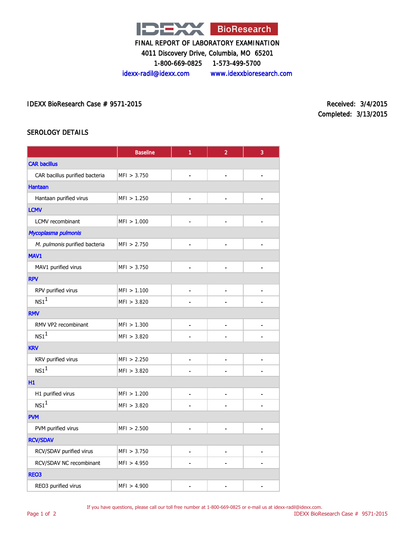

4011 Discovery Drive, Columbia, MO 65201

1-800-669-0825 1-573-499-5700

idexx-radil@idexx.com www.idexxbioresearch.com

IDEXX BioResearch Case # 9571-2015 <br>
Received: 3/4/2015

Completed: 3/13/2015

## SEROLOGY DETAILS

|                                | <b>Baseline</b> | 1              | $\overline{2}$               | 3 |
|--------------------------------|-----------------|----------------|------------------------------|---|
| <b>CAR bacillus</b>            |                 |                |                              |   |
| CAR bacillus purified bacteria | MFI > 3.750     |                |                              |   |
| <b>Hantaan</b>                 |                 |                |                              |   |
| Hantaan purified virus         | MFI > 1.250     | L,             |                              |   |
| <b>LCMV</b>                    |                 |                |                              |   |
| LCMV recombinant               | MFI > 1.000     | ÷,             | $\blacksquare$               |   |
| Mycoplasma pulmonis            |                 |                |                              |   |
| M. pulmonis purified bacteria  | MF1 > 2.750     | ä,             |                              |   |
| MAV1                           |                 |                |                              |   |
| MAV1 purified virus            | MF1 > 3.750     | L,             | $\blacksquare$               |   |
| <b>RPV</b>                     |                 |                |                              |   |
| RPV purified virus             | MFI > 1.100     | $\overline{a}$ | $\blacksquare$               |   |
| $\text{NS1}^1$                 | MFI > 3.820     |                |                              |   |
| <b>RMV</b>                     |                 |                |                              |   |
| RMV VP2 recombinant            | MFI > 1.300     | L.             | $\overline{a}$               |   |
| $NS1^1$                        | MFI > 3.820     |                |                              |   |
| <b>KRV</b>                     |                 |                |                              |   |
| KRV purified virus             | MFI > 2.250     | $\blacksquare$ | $\qquad \qquad \blacksquare$ |   |
| $NS1^1$                        | MFI > 3.820     |                |                              |   |
| Н1                             |                 |                |                              |   |
| H1 purified virus              | MFI > 1.200     |                |                              |   |
| $NS1^1$                        | MFI > 3.820     |                |                              |   |
| <b>PVM</b>                     |                 |                |                              |   |
| PVM purified virus             | MFI > 2.500     |                |                              |   |
| <b>RCV/SDAV</b>                |                 |                |                              |   |
| RCV/SDAV purified virus        | MFI > 3.750     | -              | -                            |   |
| RCV/SDAV NC recombinant        | MFI > 4.950     |                |                              |   |
| <b>REO3</b>                    |                 |                |                              |   |
| REO3 purified virus            | MFI > 4.900     |                |                              |   |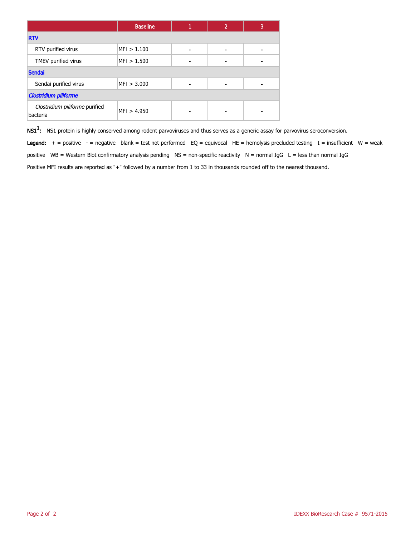|                                            | <b>Baseline</b> |  | $\overline{2}$ | 3 |  |  |
|--------------------------------------------|-----------------|--|----------------|---|--|--|
| <b>RTV</b>                                 |                 |  |                |   |  |  |
| RTV purified virus                         | MFI > 1.100     |  |                |   |  |  |
| TMEV purified virus                        | MFI > 1.500     |  |                |   |  |  |
| <b>Sendai</b>                              |                 |  |                |   |  |  |
| Sendai purified virus                      | MFI > 3.000     |  |                |   |  |  |
| <b>Clostridium piliforme</b>               |                 |  |                |   |  |  |
| Clostridium piliforme purified<br>bacteria | MF1 > 4.950     |  |                |   |  |  |

 $\mathsf{NS1^1}\text{:}$  NS1 protein is highly conserved among rodent parvoviruses and thus serves as a generic assay for parvovirus seroconversion.

Legend:  $+$  = positive - = negative blank = test not performed EQ = equivocal HE = hemolysis precluded testing I = insufficient W = weak positive WB = Western Blot confirmatory analysis pending  $NS =$  non-specific reactivity  $N =$  normal IgG  $L =$  less than normal IgG Positive MFI results are reported as "+" followed by a number from 1 to 33 in thousands rounded off to the nearest thousand.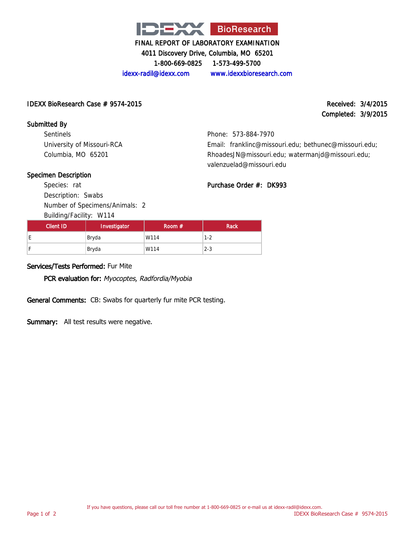

4011 Discovery Drive, Columbia, MO 65201

1-800-669-0825 1-573-499-5700

idexx-radil@idexx.com www.idexxbioresearch.com

#### IDEXX BioResearch Case # 9574-2015 Received: 3/4/2015

Completed: 3/9/2015

# Submitted By

Sentinels University of Missouri-RCA Columbia, MO 65201

Phone: 573-884-7970 Email: franklinc@missouri.edu; bethunec@missouri.edu; RhoadesJN@missouri.edu; watermanjd@missouri.edu; valenzuelad@missouri.edu

Purchase Order #: DK993

# Specimen Description

Species: rat Description Number of

Building/Fa

| . .                  |  |  |
|----------------------|--|--|
| : Swabs              |  |  |
| Specimens/Animals: 2 |  |  |
| cility: W114         |  |  |
|                      |  |  |

| Client ID | Investigator | Room $#$ | <b>Rack</b> |
|-----------|--------------|----------|-------------|
|           | Bryda        | W114     | $1 - 2$     |
|           | Bryda        | W114     | $2 - 3$     |

# Services/Tests Performed: Fur Mite

PCR evaluation for: Myocoptes, Radfordia/Myobia

General Comments: CB: Swabs for quarterly fur mite PCR testing.

Summary: All test results were negative.